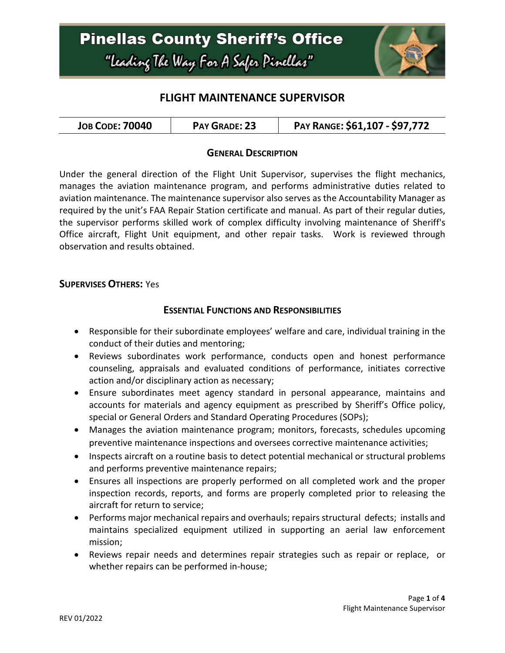

### **FLIGHT MAINTENANCE SUPERVISOR**

| PAY GRADE: 23<br><b>JOB CODE: 70040</b> | PAY RANGE: \$61,107 - \$97,772 |
|-----------------------------------------|--------------------------------|
|-----------------------------------------|--------------------------------|

#### **GENERAL DESCRIPTION**

Under the general direction of the Flight Unit Supervisor, supervises the flight mechanics, manages the aviation maintenance program, and performs administrative duties related to aviation maintenance. The maintenance supervisor also serves as the Accountability Manager as required by the unit's FAA Repair Station certificate and manual. As part of their regular duties, the supervisor performs skilled work of complex difficulty involving maintenance of Sheriff's Office aircraft, Flight Unit equipment, and other repair tasks. Work is reviewed through observation and results obtained.

#### **SUPERVISES OTHERS:** Yes

#### **ESSENTIAL FUNCTIONS AND RESPONSIBILITIES**

- Responsible for their subordinate employees' welfare and care, individual training in the conduct of their duties and mentoring;
- Reviews subordinates work performance, conducts open and honest performance counseling, appraisals and evaluated conditions of performance, initiates corrective action and/or disciplinary action as necessary;
- Ensure subordinates meet agency standard in personal appearance, maintains and accounts for materials and agency equipment as prescribed by Sheriff's Office policy, special or General Orders and Standard Operating Procedures (SOPs);
- Manages the aviation maintenance program; monitors, forecasts, schedules upcoming preventive maintenance inspections and oversees corrective maintenance activities;
- Inspects aircraft on a routine basis to detect potential mechanical or structural problems and performs preventive maintenance repairs;
- Ensures all inspections are properly performed on all completed work and the proper inspection records, reports, and forms are properly completed prior to releasing the aircraft for return to service;
- Performs major mechanical repairs and overhauls; repairs structural defects; installs and maintains specialized equipment utilized in supporting an aerial law enforcement mission;
- Reviews repair needs and determines repair strategies such as repair or replace, or whether repairs can be performed in-house;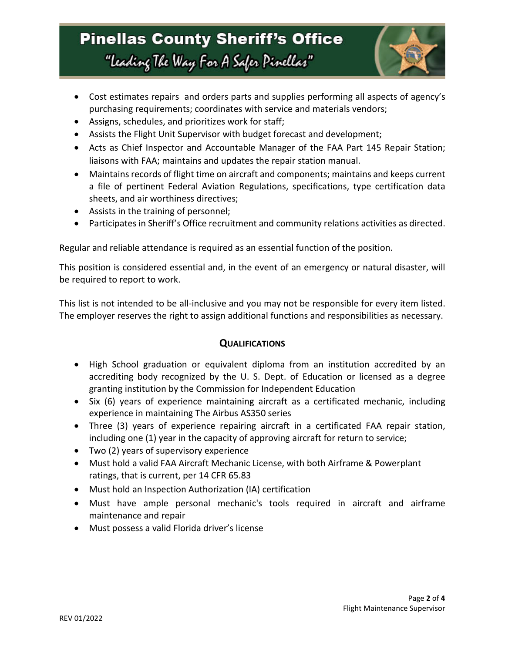

- Cost estimates repairs and orders parts and supplies performing all aspects of agency's purchasing requirements; coordinates with service and materials vendors;
- Assigns, schedules, and prioritizes work for staff;
- Assists the Flight Unit Supervisor with budget forecast and development;
- Acts as Chief Inspector and Accountable Manager of the FAA Part 145 Repair Station; liaisons with FAA; maintains and updates the repair station manual.
- Maintains records of flight time on aircraft and components; maintains and keeps current a file of pertinent Federal Aviation Regulations, specifications, type certification data sheets, and air worthiness directives;
- Assists in the training of personnel;
- Participates in Sheriff's Office recruitment and community relations activities as directed.

Regular and reliable attendance is required as an essential function of the position.

This position is considered essential and, in the event of an emergency or natural disaster, will be required to report to work.

This list is not intended to be all-inclusive and you may not be responsible for every item listed. The employer reserves the right to assign additional functions and responsibilities as necessary.

### **QUALIFICATIONS**

- High School graduation or equivalent diploma from an institution accredited by an accrediting body recognized by the U. S. Dept. of Education or licensed as a degree granting institution by the Commission for Independent Education
- Six (6) years of experience maintaining aircraft as a certificated mechanic, including experience in maintaining The Airbus AS350 series
- Three (3) years of experience repairing aircraft in a certificated FAA repair station, including one (1) year in the capacity of approving aircraft for return to service;
- Two (2) years of supervisory experience
- Must hold a valid FAA Aircraft Mechanic License, with both Airframe & Powerplant ratings, that is current, per 14 CFR 65.83
- Must hold an Inspection Authorization (IA) certification
- Must have ample personal mechanic's tools required in aircraft and airframe maintenance and repair
- Must possess a valid Florida driver's license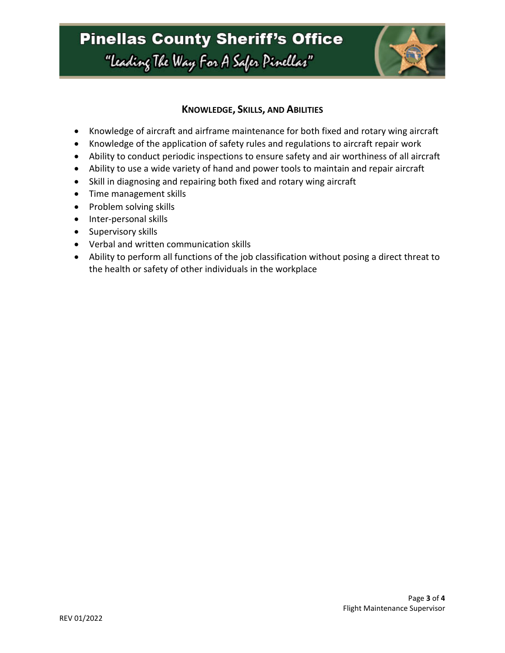

### **KNOWLEDGE, SKILLS, AND ABILITIES**

- Knowledge of aircraft and airframe maintenance for both fixed and rotary wing aircraft
- Knowledge of the application of safety rules and regulations to aircraft repair work
- Ability to conduct periodic inspections to ensure safety and air worthiness of all aircraft
- Ability to use a wide variety of hand and power tools to maintain and repair aircraft
- Skill in diagnosing and repairing both fixed and rotary wing aircraft
- Time management skills
- Problem solving skills
- Inter-personal skills
- Supervisory skills
- Verbal and written communication skills
- Ability to perform all functions of the job classification without posing a direct threat to the health or safety of other individuals in the workplace